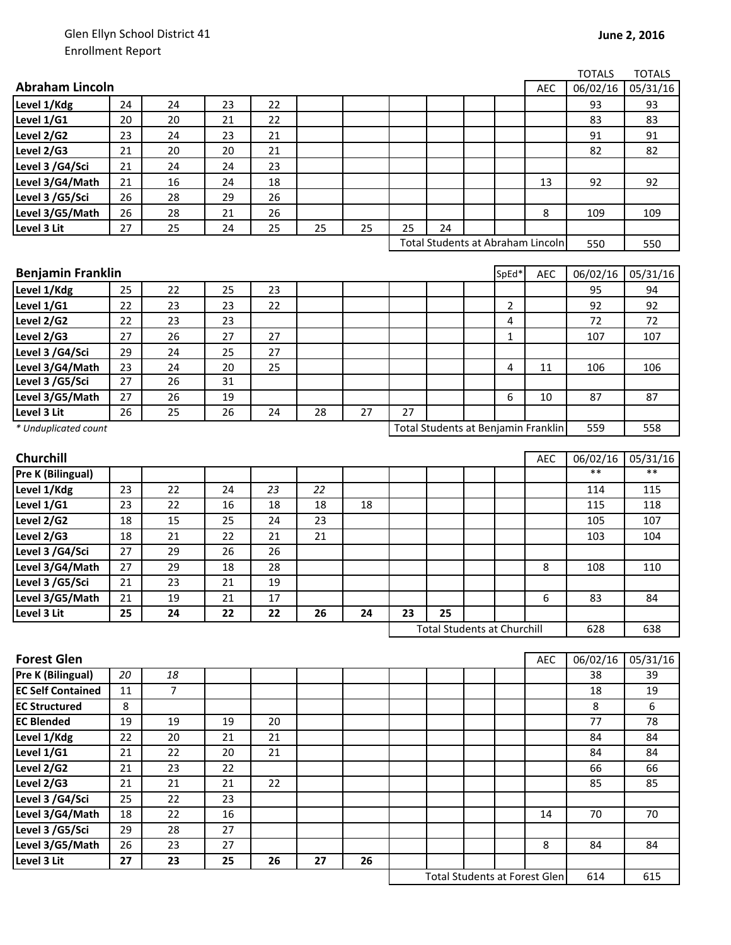|                          |    |                |    |    |    |    |    |    |                                     |            | <b>TOTALS</b>    | <b>TOTALS</b> |
|--------------------------|----|----------------|----|----|----|----|----|----|-------------------------------------|------------|------------------|---------------|
| <b>Abraham Lincoln</b>   |    |                |    |    |    |    |    |    |                                     | <b>AEC</b> | 06/02/16         | 05/31/16      |
| Level 1/Kdg              | 24 | 24             | 23 | 22 |    |    |    |    |                                     |            | 93               | 93            |
| Level 1/G1               | 20 | 20             | 21 | 22 |    |    |    |    |                                     |            | 83               | 83            |
| Level 2/G2               | 23 | 24             | 23 | 21 |    |    |    |    |                                     |            | 91               | 91            |
| Level 2/G3               | 21 | 20             | 20 | 21 |    |    |    |    |                                     |            | 82               | 82            |
| Level 3 /G4/Sci          | 21 | 24             | 24 | 23 |    |    |    |    |                                     |            |                  |               |
| Level 3/G4/Math          | 21 | 16             | 24 | 18 |    |    |    |    |                                     | 13         | 92               | 92            |
| Level 3 /G5/Sci          | 26 | 28             | 29 | 26 |    |    |    |    |                                     |            |                  |               |
| Level 3/G5/Math          | 26 | 28             | 21 | 26 |    |    |    |    |                                     | 8          | 109              | 109           |
| Level 3 Lit              | 27 | 25             | 24 | 25 | 25 | 25 | 25 | 24 |                                     |            |                  |               |
|                          |    |                |    |    |    |    |    |    | Total Students at Abraham Lincoln   |            | 550              | 550           |
|                          |    |                |    |    |    |    |    |    |                                     |            |                  |               |
| <b>Benjamin Franklin</b> |    |                |    |    |    |    |    |    | SpEd*                               | AEC        | 06/02/16         | 05/31/16      |
| Level 1/Kdg              | 25 | 22             | 25 | 23 |    |    |    |    |                                     |            | 95               | 94            |
| Level 1/G1               | 22 | 23             | 23 | 22 |    |    |    |    | 2                                   |            | 92               | 92            |
| Level 2/G2               | 22 | 23             | 23 |    |    |    |    |    | 4                                   |            | 72               | 72            |
| Level 2/G3               | 27 | 26             | 27 | 27 |    |    |    |    | 1                                   |            | 107              | 107           |
| Level 3 /G4/Sci          | 29 | 24             | 25 | 27 |    |    |    |    |                                     |            |                  |               |
| Level 3/G4/Math          | 23 | 24             | 20 | 25 |    |    |    |    | 4                                   | 11         | 106              | 106           |
| Level 3 / G5/Sci         | 27 | 26             | 31 |    |    |    |    |    |                                     |            |                  |               |
| Level 3/G5/Math          | 27 | 26             | 19 |    |    |    |    |    | 6                                   | 10         | 87               | 87            |
| Level 3 Lit              | 26 | 25             | 26 | 24 | 28 | 27 | 27 |    |                                     |            |                  |               |
| * Unduplicated count     |    |                |    |    |    |    |    |    | Total Students at Benjamin Franklin |            | 559              | 558           |
|                          |    |                |    |    |    |    |    |    |                                     |            |                  |               |
| <b>Churchill</b>         |    |                |    |    |    |    |    |    |                                     | <b>AEC</b> | 06/02/16<br>$**$ | 05/31/16      |
| Pre K (Bilingual)        |    |                |    |    |    |    |    |    |                                     |            |                  | $***$         |
| Level 1/Kdg              | 23 | 22             | 24 | 23 | 22 |    |    |    |                                     |            | 114              | 115           |
| Level 1/G1               | 23 | 22             | 16 | 18 | 18 | 18 |    |    |                                     |            | 115              | 118           |
| Level 2/G2               | 18 | 15             | 25 | 24 | 23 |    |    |    |                                     |            | 105              | 107           |
| Level 2/G3               | 18 | 21             | 22 | 21 | 21 |    |    |    |                                     |            | 103              | 104           |
| Level 3 /G4/Sci          | 27 | 29             | 26 | 26 |    |    |    |    |                                     |            |                  |               |
| Level 3/G4/Math          | 27 | 29             | 18 | 28 |    |    |    |    |                                     | 8          | 108              | 110           |
| Level 3 /G5/Sci          | 21 | 23             | 21 | 19 |    |    |    |    |                                     |            |                  |               |
| Level 3/G5/Math          | 21 | 19             | 21 | 17 |    |    |    |    |                                     | 6          | 83               | 84            |
| Level 3 Lit              | 25 | 24             | 22 | 22 | 26 | 24 | 23 | 25 |                                     |            |                  |               |
|                          |    |                |    |    |    |    |    |    | <b>Total Students at Churchill</b>  |            | 628              | 638           |
| <b>Forest Glen</b>       |    |                |    |    |    |    |    |    |                                     | AEC        | 06/02/16         | 05/31/16      |
| Pre K (Bilingual)        | 20 | 18             |    |    |    |    |    |    |                                     |            | 38               | 39            |
| <b>EC Self Contained</b> | 11 | $\overline{7}$ |    |    |    |    |    |    |                                     |            | 18               | 19            |
| <b>EC Structured</b>     | 8  |                |    |    |    |    |    |    |                                     |            | 8                | 6             |
| <b>EC Blended</b>        | 19 | 19             | 19 | 20 |    |    |    |    |                                     |            | 77               | 78            |
| Level 1/Kdg              | 22 | 20             | 21 | 21 |    |    |    |    |                                     |            | 84               | 84            |
| Level 1/G1               | 21 | 22             | 20 | 21 |    |    |    |    |                                     |            | 84               | 84            |
| Level 2/G2               | 21 | 23             | 22 |    |    |    |    |    |                                     |            | 66               | 66            |
| Level 2/G3               | 21 | 21             | 21 | 22 |    |    |    |    |                                     |            | 85               | 85            |
| Level 3 /G4/Sci          | 25 | 22             | 23 |    |    |    |    |    |                                     |            |                  |               |
| Level 3/G4/Math          | 18 | 22             | 16 |    |    |    |    |    |                                     | 14         | 70               | 70            |
| Level 3 /G5/Sci          | 29 | 28             | 27 |    |    |    |    |    |                                     |            |                  |               |
| Level 3/G5/Math          | 26 | 23             | 27 |    |    |    |    |    |                                     | 8          | 84               | 84            |
| Level 3 Lit              | 27 | 23             | 25 | 26 | 27 | 26 |    |    |                                     |            |                  |               |

614 615 Total Students at Forest Glen